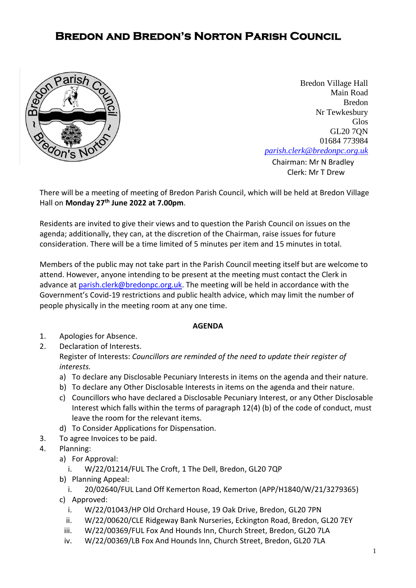## **Bredon and Bredon's Norton Parish Council**



**[Chairman:](mailto:parish.clerk@bredonpc.org.uk.com) Mr N Bradley** Bredon Village Hall Main Road Bredon Nr Tewkesbury Glos GL20 7QN 01684 773984 *[parish.clerk@bredonpc.org.uk](mailto:parish.clerk@bredonpc.org.uk.com)*

Clerk: Mr T Drew

There will be a meeting of meeting of Bredon Parish Council, which will be held at Bredon Village Hall on **Monday 27th June 2022 at 7.00pm**.

Residents are invited to give their views and to question the Parish Council on issues on the agenda; additionally, they can, at the discretion of the Chairman, raise issues for future consideration. There will be a time limited of 5 minutes per item and 15 minutes in total.

Members of the public may not take part in the Parish Council meeting itself but are welcome to attend. However, anyone intending to be present at the meeting must contact the Clerk in advance at [parish.clerk@bredonpc.org.uk.](mailto:parish.clerk@bredonpc.org.uk) The meeting will be held in accordance with the Government's Covid-19 restrictions and public health advice, which may limit the number of people physically in the meeting room at any one time.

## **AGENDA**

- 1. Apologies for Absence.
- 2. Declaration of Interests. Register of Interests: *Councillors are reminded of the need to update their register of interests.* 
	- a) To declare any Disclosable Pecuniary Interests in items on the agenda and their nature.
	- b) To declare any Other Disclosable Interests in items on the agenda and their nature.
	- c) Councillors who have declared a Disclosable Pecuniary Interest, or any Other Disclosable Interest which falls within the terms of paragraph 12(4) (b) of the code of conduct, must leave the room for the relevant items.
	- d) To Consider Applications for Dispensation.
- 3. To agree Invoices to be paid.
- 4. Planning:
	- a) For Approval:
		- i. W/22/01214/FUL The Croft, 1 The Dell, Bredon, GL20 7QP
	- b) Planning Appeal:
		- i. 20/02640/FUL Land Off Kemerton Road, Kemerton (APP/H1840/W/21/3279365)
	- c) Approved:
		- i. W/22/01043/HP Old Orchard House, 19 Oak Drive, Bredon, GL20 7PN
		- ii. W/22/00620/CLE Ridgeway Bank Nurseries, Eckington Road, Bredon, GL20 7EY
		- iii. W/22/00369/FUL Fox And Hounds Inn, Church Street, Bredon, GL20 7LA
		- iv. W/22/00369/LB Fox And Hounds Inn, Church Street, Bredon, GL20 7LA